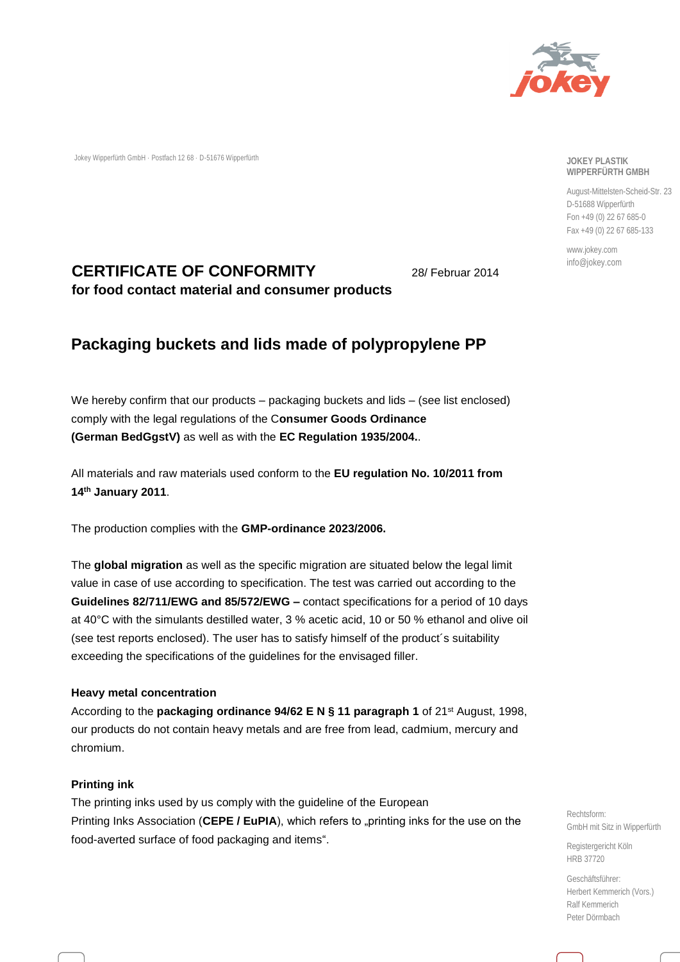

Jokey Wipperfürth GmbH · Postfach 12 68 · D-51676 Wipperfürth

#### **JOKEY PLASTIK WIPPERFÜRTH GMBH**

August-Mittelsten-Scheid-Str. 23 D-51688 Wipperfürth Fon +49 (0) 22 67 685-0 Fax +49 (0) 22 67 685-133

www.jokey.com info@jokey.com

## **CERTIFICATE OF CONFORMITY for food contact material and consumer products**

28/ Februar 2014

# **Packaging buckets and lids made of polypropylene PP**

We hereby confirm that our products – packaging buckets and lids – (see list enclosed) comply with the legal regulations of the C**onsumer Goods Ordinance (German BedGgstV)** as well as with the **EC Regulation 1935/2004.**.

All materials and raw materials used conform to the **EU regulation No. 10/2011 from 14th January 2011**.

The production complies with the **GMP-ordinance 2023/2006.**

The **global migration** as well as the specific migration are situated below the legal limit value in case of use according to specification. The test was carried out according to the **Guidelines 82/711/EWG and 85/572/EWG –** contact specifications for a period of 10 days at 40°C with the simulants destilled water, 3 % acetic acid, 10 or 50 % ethanol and olive oil (see test reports enclosed). The user has to satisfy himself of the product´s suitability exceeding the specifications of the guidelines for the envisaged filler.

## **Heavy metal concentration**

According to the **packaging ordinance 94/62 E N § 11 paragraph 1** of 21st August, 1998, our products do not contain heavy metals and are free from lead, cadmium, mercury and chromium.

## **Printing ink**

The printing inks used by us comply with the guideline of the European Printing Inks Association (CEPE / EuPIA), which refers to "printing inks for the use on the food-averted surface of food packaging and items".

Rechtsform: GmbH mit Sitz in Wipperfürth

Registergericht Köln HRB 37720

Geschäftsführer: Herbert Kemmerich (Vors.) Ralf Kemmerich Peter Dörmbach